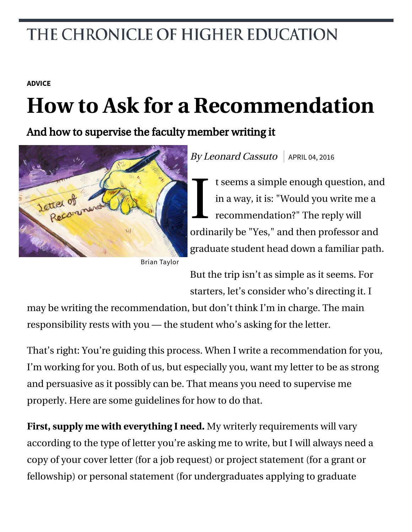## THE CHRONICLE OF HIGHER EDUCATION

### **[ADVICE](http://chronicle.com/section/Advice/66)**

# **How to Ask for a Recommendation**

And how to supervise the faculty member writing it



Brian Taylor

By Leonard Cassuto | APRIL 04, 2016

I t seems a simple enough question, and in a way, it is: "Would you write me a recommendation?" The reply will ordinarily be "Yes," and then professor and graduate student head down a familiar path.

But the trip isn't as simple as it seems. For starters, let's consider who's directing it. I

may be writing the recommendation, but don't think I'm in charge. The main responsibility rests with you — the student who's asking for the letter.

That's right: You're guiding this process. When I write a recommendation for you, I'm working for you. Both of us, but especially you, want my letter to be as strong and persuasive as it possibly can be. That means you need to supervise me properly. Here are some guidelines for how to do that.

**First, supply me with everything I need.** My writerly requirements will vary according to the type of letter you're asking me to write, but I will always need a copy of your cover letter (for a job request) or project statement (for a grant or fellowship) or personal statement (for undergraduates applying to graduate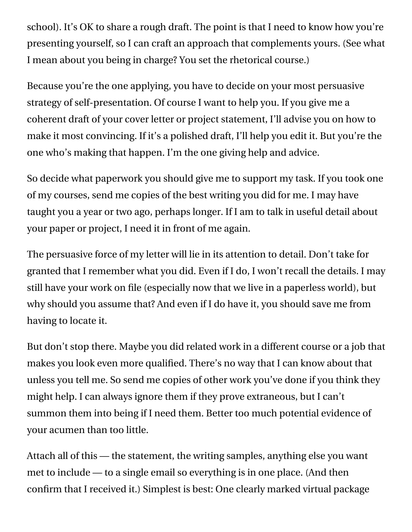school). It's OK to share a rough draft. The point is that I need to know how you're presenting yourself, so I can craft an approach that complements yours. (See what I mean about you being in charge? You set the rhetorical course.)

Because you're the one applying, you have to decide on your most persuasive strategy of self-presentation. Of course I want to help you. If you give me a coherent draft of your cover letter or project statement, I'll advise you on how to make it most convincing. If it's a polished draft, I'll help you edit it. But you're the one who's making that happen. I'm the one giving help and advice.

So decide what paperwork you should give me to support my task. If you took one of my courses, send me copies of the best writing you did for me. I may have taught you a year or two ago, perhaps longer. If I am to talk in useful detail about your paper or project, I need it in front of me again.

The persuasive force of my letter will lie in its attention to detail. Don't take for granted that I remember what you did. Even if I do, I won't recall the details. I may still have your work on file (especially now that we live in a paperless world), but why should you assume that? And even if I do have it, you should save me from having to locate it.

But don't stop there. Maybe you did related work in a different course or a job that makes you look even more qualified. There's no way that I can know about that unless you tell me. So send me copies of other work you've done if you think they might help. I can always ignore them if they prove extraneous, but I can't summon them into being if I need them. Better too much potential evidence of your acumen than too little.

Attach all of this — the statement, the writing samples, anything else you want met to include — to a single email so everything is in one place. (And then confirm that I received it.) Simplest is best: One clearly marked virtual package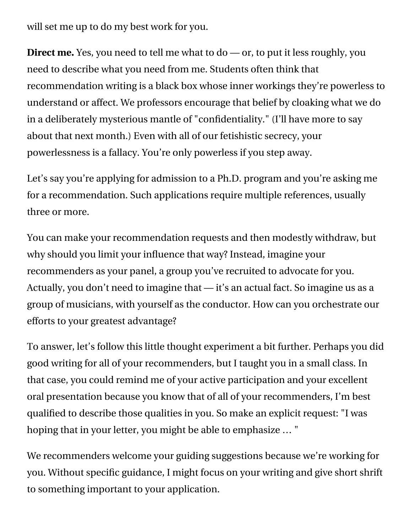will set me up to do my best work for you.

**Direct me.** Yes, you need to tell me what to do — or, to put it less roughly, you need to describe what you need from me. Students often think that recommendation writing is a black box whose inner workings they're powerless to understand or affect. We professors encourage that belief by cloaking what we do in a deliberately mysterious mantle of "confidentiality." (I'll have more to say about that next month.) Even with all of our fetishistic secrecy, your powerlessness is a fallacy. You're only powerless if you step away.

Let's say you're applying for admission to a Ph.D. program and you're asking me for a recommendation. Such applications require multiple references, usually three or more.

You can make your recommendation requests and then modestly withdraw, but why should you limit your influence that way? Instead, imagine your recommenders as your panel, a group you've recruited to advocate for you. Actually, you don't need to imagine that — it's an actual fact. So imagine us as a group of musicians, with yourself as the conductor. How can you orchestrate our efforts to your greatest advantage?

To answer, let's follow this little thought experiment a bit further. Perhaps you did good writing for all of your recommenders, but I taught you in a small class. In that case, you could remind me of your active participation and your excellent oral presentation because you know that of all of your recommenders, I'm best qualified to describe those qualities in you. So make an explicit request: "I was hoping that in your letter, you might be able to emphasize … "

We recommenders welcome your guiding suggestions because we're working for you. Without specific guidance, I might focus on your writing and give short shrift to something important to your application.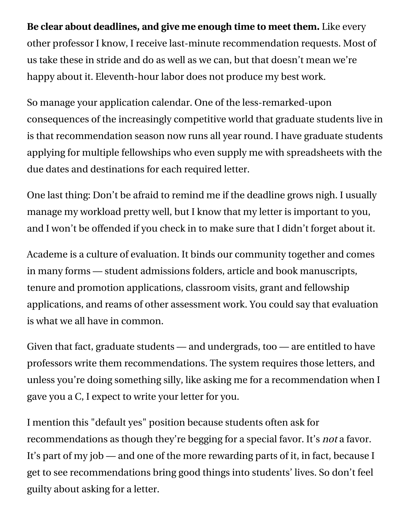**Be clear about deadlines, and give me enough time to meet them.** Like every other professor I know, I receive last-minute recommendation requests. Most of us take these in stride and do as well as we can, but that doesn't mean we're happy about it. Eleventh-hour labor does not produce my best work.

So manage your application calendar. One of the less-remarked-upon consequences of the increasingly competitive world that graduate students live in is that recommendation season now runs all year round. I have graduate students applying for multiple fellowships who even supply me with spreadsheets with the due dates and destinations for each required letter.

One last thing: Don't be afraid to remind me if the deadline grows nigh. I usually manage my workload pretty well, but I know that my letter is important to you, and I won't be offended if you check in to make sure that I didn't forget about it.

Academe is a culture of evaluation. It binds our community together and comes in many forms — student admissions folders, article and book manuscripts, tenure and promotion applications, classroom visits, grant and fellowship applications, and reams of other assessment work. You could say that evaluation is what we all have in common.

Given that fact, graduate students — and undergrads, too — are entitled to have professors write them recommendations. The system requires those letters, and unless you're doing something silly, like asking me for a recommendation when I gave you a C, I expect to write your letter for you.

I mention this "default yes" position because students often ask for recommendations as though they're begging for a special favor. It's *not* a favor. It's part of my job — and one of the more rewarding parts of it, in fact, because I get to see recommendations bring good things into students' lives. So don't feel guilty about asking for a letter.